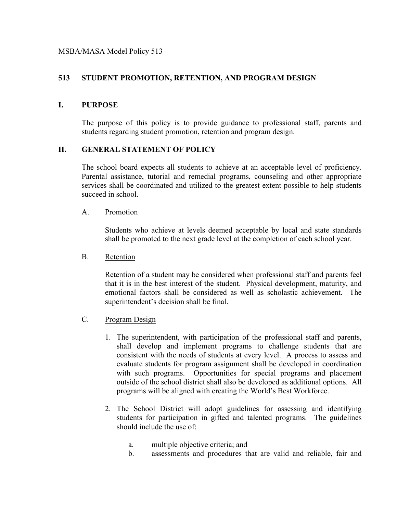# **513 STUDENT PROMOTION, RETENTION, AND PROGRAM DESIGN**

## **I. PURPOSE**

The purpose of this policy is to provide guidance to professional staff, parents and students regarding student promotion, retention and program design.

### **II. GENERAL STATEMENT OF POLICY**

The school board expects all students to achieve at an acceptable level of proficiency. Parental assistance, tutorial and remedial programs, counseling and other appropriate services shall be coordinated and utilized to the greatest extent possible to help students succeed in school.

#### A. Promotion

Students who achieve at levels deemed acceptable by local and state standards shall be promoted to the next grade level at the completion of each school year.

#### B. Retention

Retention of a student may be considered when professional staff and parents feel that it is in the best interest of the student. Physical development, maturity, and emotional factors shall be considered as well as scholastic achievement. The superintendent's decision shall be final.

#### C. Program Design

- 1. The superintendent, with participation of the professional staff and parents, shall develop and implement programs to challenge students that are consistent with the needs of students at every level. A process to assess and evaluate students for program assignment shall be developed in coordination with such programs. Opportunities for special programs and placement outside of the school district shall also be developed as additional options. All programs will be aligned with creating the World's Best Workforce.
- 2. The School District will adopt guidelines for assessing and identifying students for participation in gifted and talented programs. The guidelines should include the use of:
	- a. multiple objective criteria; and
	- b. assessments and procedures that are valid and reliable, fair and